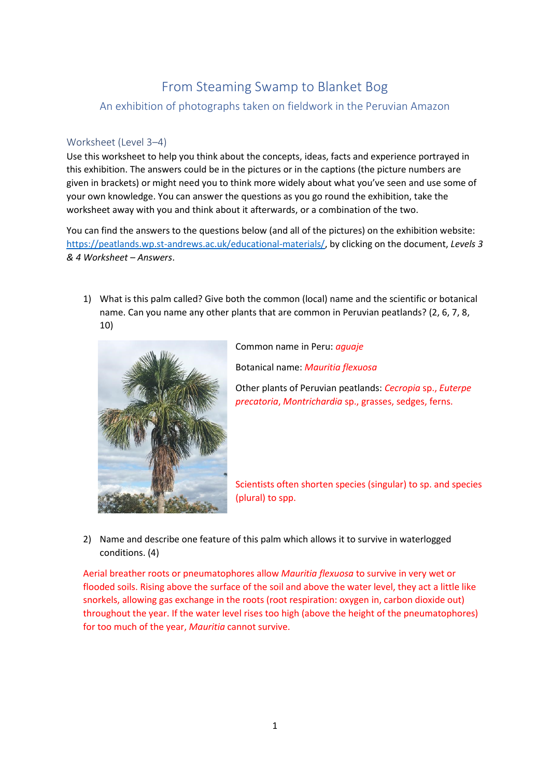## From Steaming Swamp to Blanket Bog

An exhibition of photographs taken on fieldwork in the Peruvian Amazon

## Worksheet (Level 3–4)

Use this worksheet to help you think about the concepts, ideas, facts and experience portrayed in this exhibition. The answers could be in the pictures or in the captions (the picture numbers are given in brackets) or might need you to think more widely about what you've seen and use some of your own knowledge. You can answer the questions as you go round the exhibition, take the worksheet away with you and think about it afterwards, or a combination of the two.

You can find the answers to the questions below (and all of the pictures) on the exhibition website: [https://peatlands.wp.st-andrews.ac.uk/educational-materials/,](https://peatlands.wp.st-andrews.ac.uk/educational-materials/) by clicking on the document, *Levels 3 & 4 Worksheet – Answers*.

1) What is this palm called? Give both the common (local) name and the scientific or botanical name. Can you name any other plants that are common in Peruvian peatlands? (2, 6, 7, 8, 10)



Common name in Peru: *aguaje* Botanical name: *Mauritia flexuosa* Other plants of Peruvian peatlands: *Cecropia* sp., *Euterpe* 

*precatoria*, *Montrichardia* sp., grasses, sedges, ferns.

Scientists often shorten species (singular) to sp. and species (plural) to spp.

2) Name and describe one feature of this palm which allows it to survive in waterlogged conditions. (4)

Aerial breather roots or pneumatophores allow *Mauritia flexuosa* to survive in very wet or flooded soils. Rising above the surface of the soil and above the water level, they act a little like snorkels, allowing gas exchange in the roots (root respiration: oxygen in, carbon dioxide out) throughout the year. If the water level rises too high (above the height of the pneumatophores) for too much of the year, *Mauritia* cannot survive.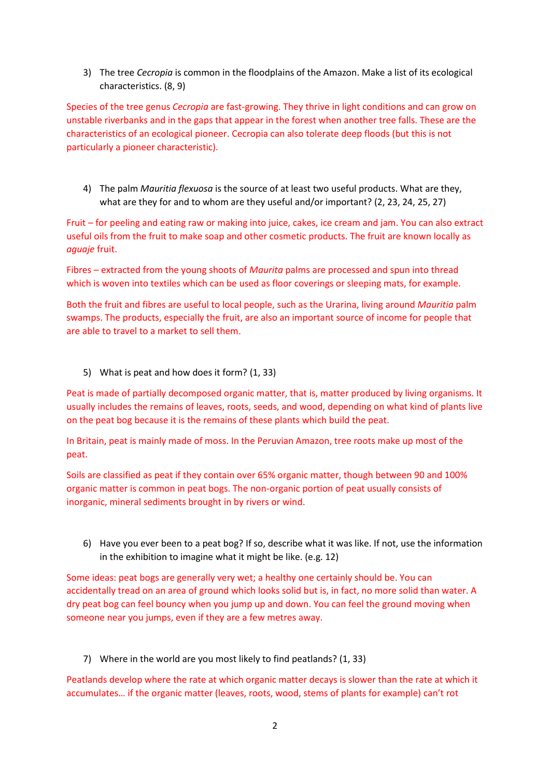3) The tree *Cecropia* is common in the floodplains of the Amazon. Make a list of its ecological characteristics. (8, 9)

Species of the tree genus *Cecropia* are fast-growing. They thrive in light conditions and can grow on unstable riverbanks and in the gaps that appear in the forest when another tree falls. These are the characteristics of an ecological pioneer. Cecropia can also tolerate deep floods (but this is not particularly a pioneer characteristic).

4) The palm *Mauritia flexuosa* is the source of at least two useful products. What are they, what are they for and to whom are they useful and/or important? (2, 23, 24, 25, 27)

Fruit – for peeling and eating raw or making into juice, cakes, ice cream and jam. You can also extract useful oils from the fruit to make soap and other cosmetic products. The fruit are known locally as *aguaje* fruit.

Fibres – extracted from the young shoots of *Maurita* palms are processed and spun into thread which is woven into textiles which can be used as floor coverings or sleeping mats, for example.

Both the fruit and fibres are useful to local people, such as the Urarina, living around *Mauritia* palm swamps. The products, especially the fruit, are also an important source of income for people that are able to travel to a market to sell them.

5) What is peat and how does it form? (1, 33)

Peat is made of partially decomposed organic matter, that is, matter produced by living organisms. It usually includes the remains of leaves, roots, seeds, and wood, depending on what kind of plants live on the peat bog because it is the remains of these plants which build the peat.

In Britain, peat is mainly made of moss. In the Peruvian Amazon, tree roots make up most of the peat.

Soils are classified as peat if they contain over 65% organic matter, though between 90 and 100% organic matter is common in peat bogs. The non-organic portion of peat usually consists of inorganic, mineral sediments brought in by rivers or wind.

6) Have you ever been to a peat bog? If so, describe what it was like. If not, use the information in the exhibition to imagine what it might be like. (e.g. 12)

Some ideas: peat bogs are generally very wet; a healthy one certainly should be. You can accidentally tread on an area of ground which looks solid but is, in fact, no more solid than water. A dry peat bog can feel bouncy when you jump up and down. You can feel the ground moving when someone near you jumps, even if they are a few metres away.

7) Where in the world are you most likely to find peatlands? (1, 33)

Peatlands develop where the rate at which organic matter decays is slower than the rate at which it accumulates… if the organic matter (leaves, roots, wood, stems of plants for example) can't rot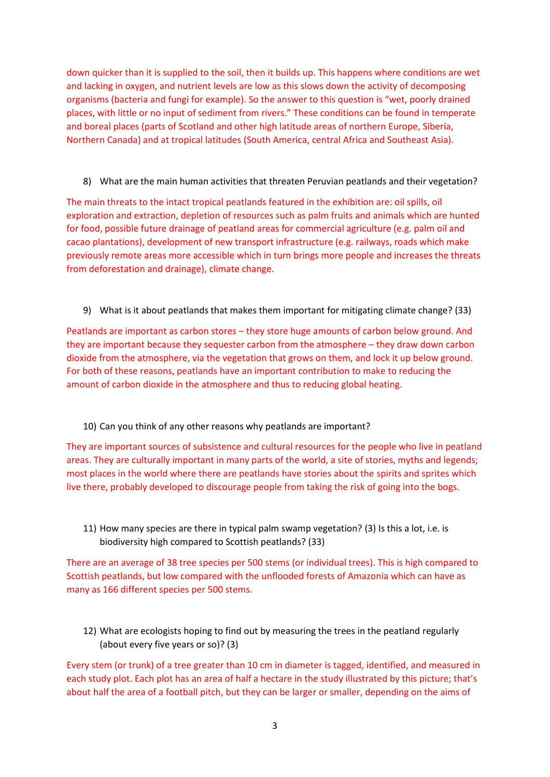down quicker than it is supplied to the soil, then it builds up. This happens where conditions are wet and lacking in oxygen, and nutrient levels are low as this slows down the activity of decomposing organisms (bacteria and fungi for example). So the answer to this question is "wet, poorly drained places, with little or no input of sediment from rivers." These conditions can be found in temperate and boreal places (parts of Scotland and other high latitude areas of northern Europe, Siberia, Northern Canada) and at tropical latitudes (South America, central Africa and Southeast Asia).

8) What are the main human activities that threaten Peruvian peatlands and their vegetation?

The main threats to the intact tropical peatlands featured in the exhibition are: oil spills, oil exploration and extraction, depletion of resources such as palm fruits and animals which are hunted for food, possible future drainage of peatland areas for commercial agriculture (e.g. palm oil and cacao plantations), development of new transport infrastructure (e.g. railways, roads which make previously remote areas more accessible which in turn brings more people and increases the threats from deforestation and drainage), climate change.

9) What is it about peatlands that makes them important for mitigating climate change? (33)

Peatlands are important as carbon stores – they store huge amounts of carbon below ground. And they are important because they sequester carbon from the atmosphere – they draw down carbon dioxide from the atmosphere, via the vegetation that grows on them, and lock it up below ground. For both of these reasons, peatlands have an important contribution to make to reducing the amount of carbon dioxide in the atmosphere and thus to reducing global heating.

## 10) Can you think of any other reasons why peatlands are important?

They are important sources of subsistence and cultural resources for the people who live in peatland areas. They are culturally important in many parts of the world, a site of stories, myths and legends; most places in the world where there are peatlands have stories about the spirits and sprites which live there, probably developed to discourage people from taking the risk of going into the bogs.

11) How many species are there in typical palm swamp vegetation? (3) Is this a lot, i.e. is biodiversity high compared to Scottish peatlands? (33)

There are an average of 38 tree species per 500 stems (or individual trees). This is high compared to Scottish peatlands, but low compared with the unflooded forests of Amazonia which can have as many as 166 different species per 500 stems.

12) What are ecologists hoping to find out by measuring the trees in the peatland regularly (about every five years or so)? (3)

Every stem (or trunk) of a tree greater than 10 cm in diameter is tagged, identified, and measured in each study plot. Each plot has an area of half a hectare in the study illustrated by this picture; that's about half the area of a football pitch, but they can be larger or smaller, depending on the aims of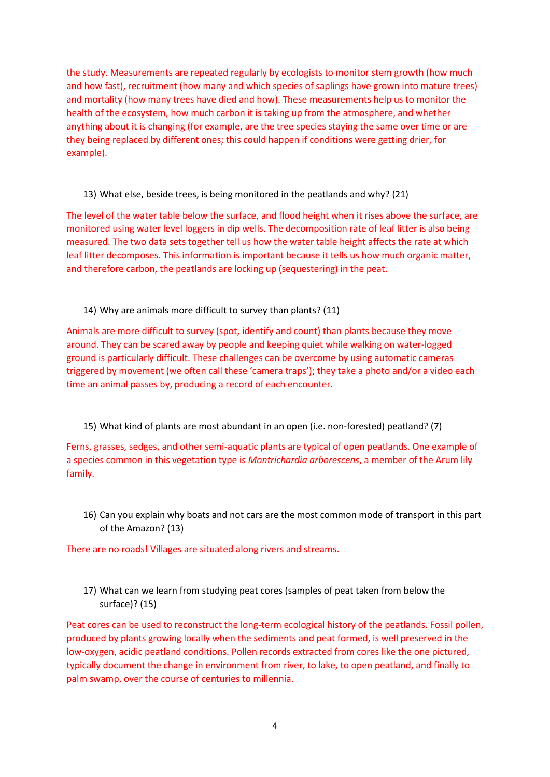the study. Measurements are repeated regularly by ecologists to monitor stem growth (how much and how fast), recruitment (how many and which species of saplings have grown into mature trees) and mortality (how many trees have died and how). These measurements help us to monitor the health of the ecosystem, how much carbon it is taking up from the atmosphere, and whether anything about it is changing (for example, are the tree species staying the same over time or are they being replaced by different ones; this could happen if conditions were getting drier, for example).

13) What else, beside trees, is being monitored in the peatlands and why? (21)

The level of the water table below the surface, and flood height when it rises above the surface, are monitored using water level loggers in dip wells. The decomposition rate of leaf litter is also being measured. The two data sets together tell us how the water table height affects the rate at which leaf litter decomposes. This information is important because it tells us how much organic matter, and therefore carbon, the peatlands are locking up (sequestering) in the peat.

14) Why are animals more difficult to survey than plants? (11)

Animals are more difficult to survey (spot, identify and count) than plants because they move around. They can be scared away by people and keeping quiet while walking on water-logged ground is particularly difficult. These challenges can be overcome by using automatic cameras triggered by movement (we often call these 'camera traps'); they take a photo and/or a video each time an animal passes by, producing a record of each encounter.

15) What kind of plants are most abundant in an open (i.e. non-forested) peatland? (7)

Ferns, grasses, sedges, and other semi-aquatic plants are typical of open peatlands. One example of a species common in this vegetation type is *Montrichardia arborescens*, a member of the Arum lily family.

16) Can you explain why boats and not cars are the most common mode of transport in this part of the Amazon? (13)

There are no roads! Villages are situated along rivers and streams.

17) What can we learn from studying peat cores (samples of peat taken from below the surface)? (15)

Peat cores can be used to reconstruct the long-term ecological history of the peatlands. Fossil pollen, produced by plants growing locally when the sediments and peat formed, is well preserved in the low-oxygen, acidic peatland conditions. Pollen records extracted from cores like the one pictured, typically document the change in environment from river, to lake, to open peatland, and finally to palm swamp, over the course of centuries to millennia.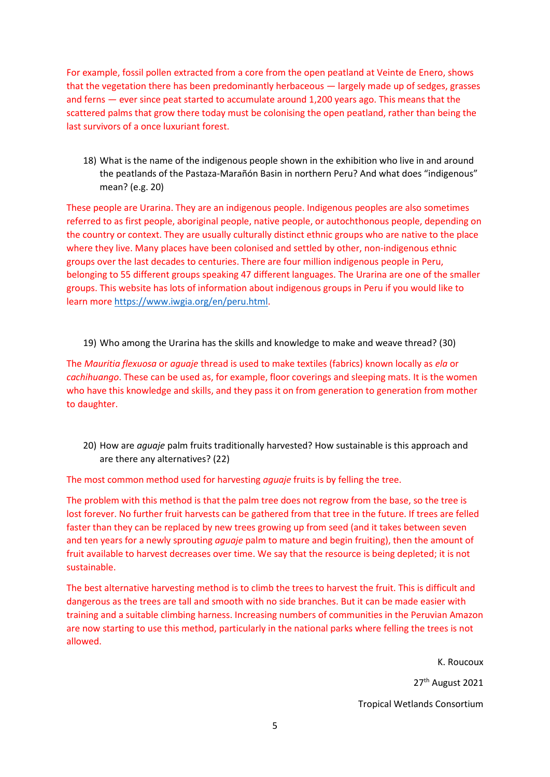For example, fossil pollen extracted from a core from the open peatland at Veinte de Enero, shows that the vegetation there has been predominantly herbaceous — largely made up of sedges, grasses and ferns — ever since peat started to accumulate around 1,200 years ago. This means that the scattered palms that grow there today must be colonising the open peatland, rather than being the last survivors of a once luxuriant forest.

18) What is the name of the indigenous people shown in the exhibition who live in and around the peatlands of the Pastaza-Marañón Basin in northern Peru? And what does "indigenous" mean? (e.g. 20)

These people are Urarina. They are an indigenous people. Indigenous peoples are also sometimes referred to as first people, aboriginal people, native people, or autochthonous people, depending on the country or context. They are usually culturally distinct ethnic groups who are native to the place where they live. Many places have been colonised and settled by other, non-indigenous ethnic groups over the last decades to centuries. There are four million indigenous people in Peru, belonging to 55 different groups speaking 47 different languages. The Urarina are one of the smaller groups. This website has lots of information about indigenous groups in Peru if you would like to learn more [https://www.iwgia.org/en/peru.html.](https://www.iwgia.org/en/peru.html)

19) Who among the Urarina has the skills and knowledge to make and weave thread? (30)

The *Mauritia flexuosa* or *aguaje* thread is used to make textiles (fabrics) known locally as *ela* or *cachihuango*. These can be used as, for example, floor coverings and sleeping mats. It is the women who have this knowledge and skills, and they pass it on from generation to generation from mother to daughter.

20) How are *aguaje* palm fruits traditionally harvested? How sustainable is this approach and are there any alternatives? (22)

The most common method used for harvesting *aguaje* fruits is by felling the tree.

The problem with this method is that the palm tree does not regrow from the base, so the tree is lost forever. No further fruit harvests can be gathered from that tree in the future. If trees are felled faster than they can be replaced by new trees growing up from seed (and it takes between seven and ten years for a newly sprouting *aguaje* palm to mature and begin fruiting), then the amount of fruit available to harvest decreases over time. We say that the resource is being depleted; it is not sustainable.

The best alternative harvesting method is to climb the trees to harvest the fruit. This is difficult and dangerous as the trees are tall and smooth with no side branches. But it can be made easier with training and a suitable climbing harness. Increasing numbers of communities in the Peruvian Amazon are now starting to use this method, particularly in the national parks where felling the trees is not allowed.

> K. Roucoux 27<sup>th</sup> August 2021 Tropical Wetlands Consortium